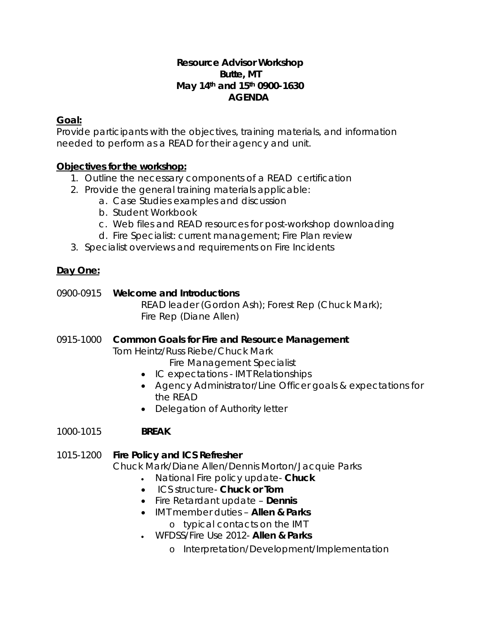#### **Resource Advisor Workshop Butte, MT May 14th and 15th 0900-1630 AGENDA**

## **Goal:**

Provide participants with the objectives, training materials, and information needed to perform as a READ for their agency and unit.

## **Objectives for the workshop:**

- 1. Outline the necessary components of a READ certification
- 2. Provide the general training materials applicable:
	- a. Case Studies examples and discussion
	- b. Student Workbook
	- c. Web files and READ resources for post-workshop downloading
	- d. Fire Specialist: current management; Fire Plan review
- 3. Specialist overviews and requirements on Fire Incidents

# **Day One:**

0900-0915 **Welcome and Introductions** READ leader (Gordon Ash); Forest Rep (Chuck Mark); Fire Rep (Diane Allen)

0915-1000 **Common Goals for Fire and Resource Management**  Tom Heintz/Russ Riebe/Chuck Mark

Fire Management Specialist

- IC expectations IMT Relationships
- Agency Administrator/Line Officer goals & expectations for the READ
- Delegation of Authority letter
- 1000-1015 *BREAK*

## 1015-1200 **Fire Policy and ICS Refresher**

Chuck Mark/Diane Allen/Dennis Morton/Jacquie Parks

- National Fire policy update- *Chuck*
- ICS structure- *Chuck or Tom*
- Fire Retardant update *Dennis*
- IMT member duties *Allen & Parks* 
	- o typical contacts on the IMT
- WFDSS/Fire Use 2012- *Allen & Parks*
	- o Interpretation/Development/Implementation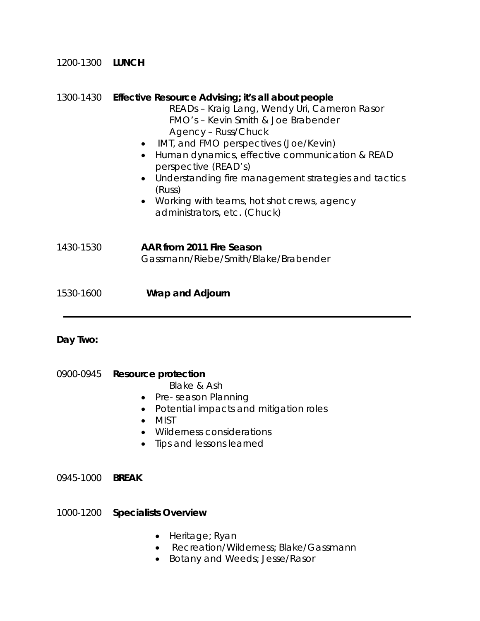| 1200-1300 LUNCH |                                                                                                                                                                                                                                                                                                                                                                                                                                                                           |
|-----------------|---------------------------------------------------------------------------------------------------------------------------------------------------------------------------------------------------------------------------------------------------------------------------------------------------------------------------------------------------------------------------------------------------------------------------------------------------------------------------|
|                 | 1300-1430 Effective Resource Advising; it's all about people<br>READs - Kraig Lang, Wendy Uri, Cameron Rasor<br>FMO's - Kevin Smith & Joe Brabender<br>Agency - Russ/Chuck<br>IMT, and FMO perspectives (Joe/Kevin)<br>Human dynamics, effective communication & READ<br>$\bullet$<br>perspective (READ's)<br>Understanding fire management strategies and tactics<br>$\bullet$<br>(Russ)<br>• Working with teams, hot shot crews, agency<br>administrators, etc. (Chuck) |
| 1430-1530       | AAR from 2011 Fire Season<br>Gassmann/Riebe/Smith/Blake/Brabender                                                                                                                                                                                                                                                                                                                                                                                                         |
| 1530-1600       | Wrap and Adjourn                                                                                                                                                                                                                                                                                                                                                                                                                                                          |

## **Day Two:**

0900-0945 **Resource protection** 

*Blake & Ash* 

- Pre- season Planning
- Potential impacts and mitigation roles
- MIST
- Wilderness considerations
- Tips and lessons learned

0945-1000 *BREAK* 

1000-1200 **Specialists Overview**

- Heritage; Ryan
- Recreation/Wilderness; Blake/Gassmann
- Botany and Weeds; Jesse/Rasor